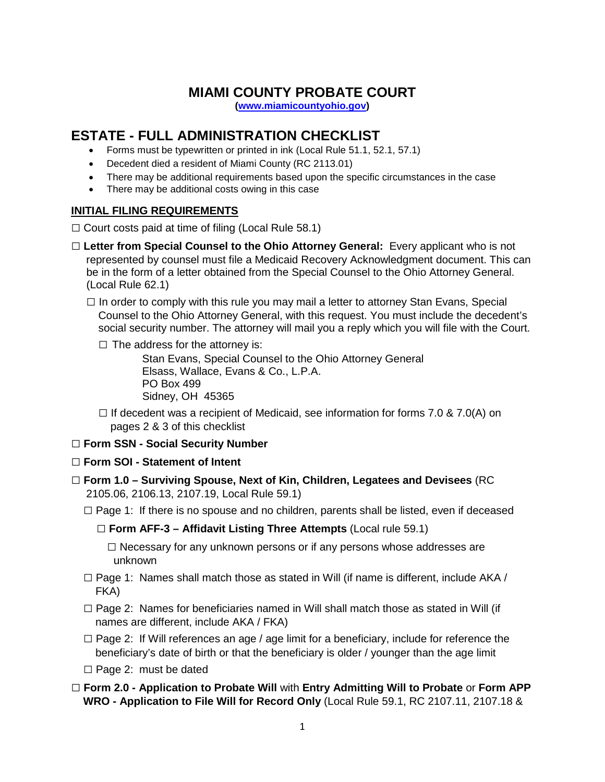# **MIAMI COUNTY PROBATE COURT**

**[\(www.miamicountyohio.gov\)](http://www.miamicountyohio.gov/)**

# **ESTATE - FULL ADMINISTRATION CHECKLIST**

- Forms must be typewritten or printed in ink (Local Rule 51.1, 52.1, 57.1)
- Decedent died a resident of Miami County (RC 2113.01)
- There may be additional requirements based upon the specific circumstances in the case
- There may be additional costs owing in this case

### **INITIAL FILING REQUIREMENTS**

 $\Box$  Court costs paid at time of filing (Local Rule 58.1)

- □ Letter from Special Counsel to the Ohio Attorney General: Every applicant who is not represented by counsel must file a Medicaid Recovery Acknowledgment document. This can be in the form of a letter obtained from the Special Counsel to the Ohio Attorney General. (Local Rule 62.1)
	- $\square$  In order to comply with this rule you may mail a letter to attorney Stan Evans, Special Counsel to the Ohio Attorney General, with this request. You must include the decedent's social security number. The attorney will mail you a reply which you will file with the Court.

 $\square$  The address for the attorney is:

Stan Evans, Special Counsel to the Ohio Attorney General Elsass, Wallace, Evans & Co., L.P.A. PO Box 499 Sidney, OH 45365

 $\Box$  If decedent was a recipient of Medicaid, see information for forms 7.0 & 7.0(A) on pages 2 & 3 of this checklist

### **□ Form SSN - Social Security Number**

- □ **Form SOI - Statement of Intent**
- □ **Form 1.0 – Surviving Spouse, Next of Kin, Children, Legatees and Devisees** (RC 2105.06, 2106.13, 2107.19, Local Rule 59.1)
	- $\square$  Page 1: If there is no spouse and no children, parents shall be listed, even if deceased

□ **Form AFF-3 – Affidavit Listing Three Attempts** (Local rule 59.1)

 $\square$  Necessary for any unknown persons or if any persons whose addresses are unknown

- $\square$  Page 1: Names shall match those as stated in Will (if name is different, include AKA / FKA)
- $\square$  Page 2: Names for beneficiaries named in Will shall match those as stated in Will (if names are different, include AKA / FKA)
- $\square$  Page 2: If Will references an age / age limit for a beneficiary, include for reference the beneficiary's date of birth or that the beneficiary is older / younger than the age limit

 $\Box$  Page 2: must be dated

□ **Form 2.0 - Application to Probate Will** with **Entry Admitting Will to Probate** or **Form APP WRO - Application to File Will for Record Only** (Local Rule 59.1, RC 2107.11, 2107.18 &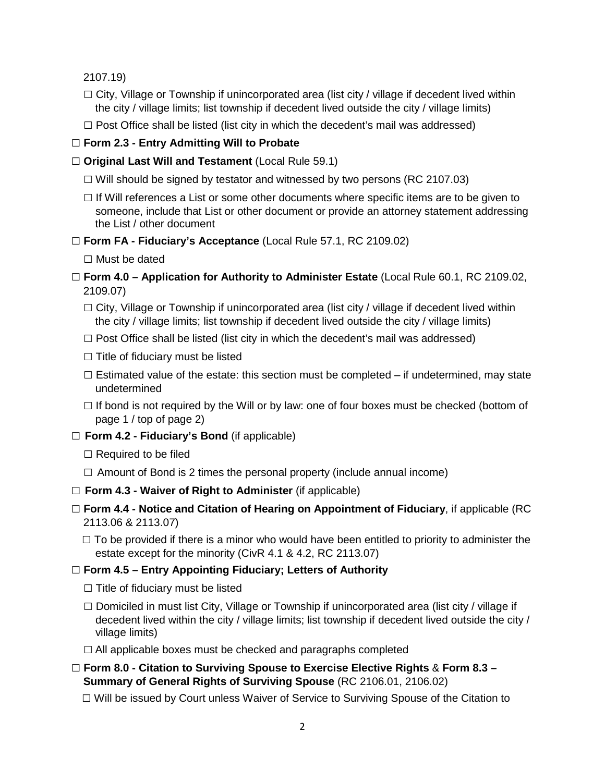2107.19)

- $\Box$  City, Village or Township if unincorporated area (list city / village if decedent lived within the city / village limits; list township if decedent lived outside the city / village limits)
- $\square$  Post Office shall be listed (list city in which the decedent's mail was addressed)

# □ **Form 2.3 - Entry Admitting Will to Probate**

### □ **Original Last Will and Testament** (Local Rule 59.1)

- $\Box$  Will should be signed by testator and witnessed by two persons (RC 2107.03)
- $\square$  If Will references a List or some other documents where specific items are to be given to someone, include that List or other document or provide an attorney statement addressing the List / other document

## □ **Form FA - Fiduciary's Acceptance** (Local Rule 57.1, RC 2109.02)

□ Must be dated

- □ **Form 4.0 – Application for Authority to Administer Estate** (Local Rule 60.1, RC 2109.02, 2109.07)
	- $\Box$  City, Village or Township if unincorporated area (list city / village if decedent lived within the city / village limits; list township if decedent lived outside the city / village limits)
	- $\square$  Post Office shall be listed (list city in which the decedent's mail was addressed)
	- $\square$  Title of fiduciary must be listed
	- $\square$  Estimated value of the estate: this section must be completed if undetermined, may state undetermined
	- $\Box$  If bond is not required by the Will or by law: one of four boxes must be checked (bottom of page 1 / top of page 2)
- □ **Form 4.2 - Fiduciary's Bond** (if applicable)
	- $\square$  Required to be filed
	- $\Box$  Amount of Bond is 2 times the personal property (include annual income)
- □ **Form 4.3 - Waiver of Right to Administer** (if applicable)
- □ **Form 4.4 - Notice and Citation of Hearing on Appointment of Fiduciary**, if applicable (RC 2113.06 & 2113.07)
	- $\square$  To be provided if there is a minor who would have been entitled to priority to administer the estate except for the minority (CivR 4.1 & 4.2, RC 2113.07)

# □ **Form 4.5 – Entry Appointing Fiduciary; Letters of Authority**

- $\square$  Title of fiduciary must be listed
- $\square$  Domiciled in must list City, Village or Township if unincorporated area (list city / village if decedent lived within the city / village limits; list township if decedent lived outside the city / village limits)
- $\Box$  All applicable boxes must be checked and paragraphs completed
- □ **Form 8.0 - Citation to Surviving Spouse to Exercise Elective Rights** & **Form 8.3 – Summary of General Rights of Surviving Spouse** (RC 2106.01, 2106.02)

 $\square$  Will be issued by Court unless Waiver of Service to Surviving Spouse of the Citation to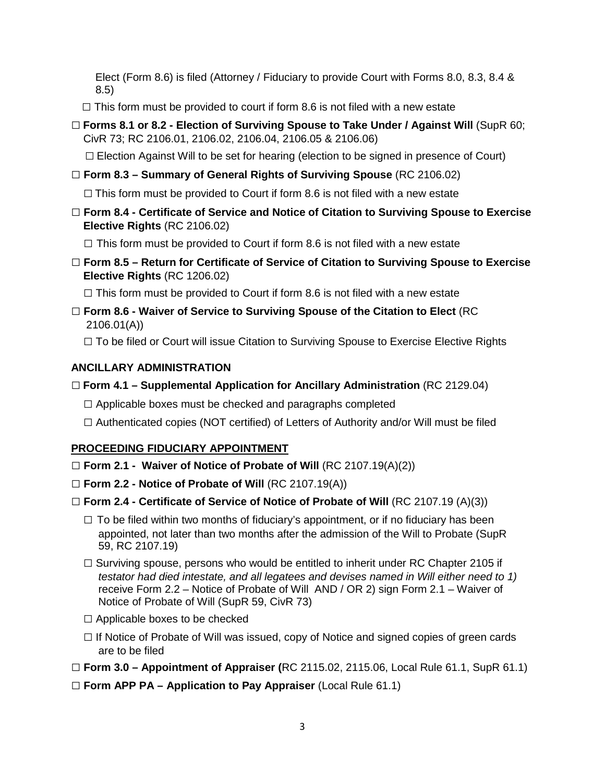Elect (Form 8.6) is filed (Attorney / Fiduciary to provide Court with Forms 8.0, 8.3, 8.4 & 8.5)

 **□** This form must be provided to court if form 8.6 is not filed with a new estate

□ **Forms 8.1 or 8.2 - Election of Surviving Spouse to Take Under / Against Will** (SupR 60; CivR 73; RC 2106.01, 2106.02, 2106.04, 2106.05 & 2106.06)

 $\square$  Election Against Will to be set for hearing (election to be signed in presence of Court)

□ **Form 8.3 – Summary of General Rights of Surviving Spouse** (RC 2106.02)

 $\Box$  This form must be provided to Court if form 8.6 is not filed with a new estate

□ **Form 8.4 - Certificate of Service and Notice of Citation to Surviving Spouse to Exercise Elective Rights** (RC 2106.02)

 $\Box$  This form must be provided to Court if form 8.6 is not filed with a new estate

**□ Form 8.5 – Return for Certificate of Service of Citation to Surviving Spouse to Exercise Elective Rights** (RC 1206.02)

 $\Box$  This form must be provided to Court if form 8.6 is not filed with a new estate

**□ Form 8.6 - Waiver of Service to Surviving Spouse of the Citation to Elect** (RC 2106.01(A))

□ To be filed or Court will issue Citation to Surviving Spouse to Exercise Elective Rights

## **ANCILLARY ADMINISTRATION**

- □ **Form 4.1 – Supplemental Application for Ancillary Administration** (RC 2129.04)
	- $\Box$  Applicable boxes must be checked and paragraphs completed
	- $\square$  Authenticated copies (NOT certified) of Letters of Authority and/or Will must be filed

### **PROCEEDING FIDUCIARY APPOINTMENT**

- □ **Form 2.1 - Waiver of Notice of Probate of Will** (RC 2107.19(A)(2))
- □ **Form 2.2 - Notice of Probate of Will** (RC 2107.19(A))
- □ **Form 2.4 - Certificate of Service of Notice of Probate of Will** (RC 2107.19 (A)(3))
	- $\square$  To be filed within two months of fiduciary's appointment, or if no fiduciary has been appointed, not later than two months after the admission of the Will to Probate (SupR 59, RC 2107.19)
	- $\square$  Surviving spouse, persons who would be entitled to inherit under RC Chapter 2105 if  *testator had died intestate, and all legatees and devises named in Will either need to 1)*  receive Form 2.2 – Notice of Probate of Will AND / OR 2) sign Form 2.1 – Waiver of Notice of Probate of Will (SupR 59, CivR 73)
	- □ Applicable boxes to be checked
	- $\Box$  If Notice of Probate of Will was issued, copy of Notice and signed copies of green cards are to be filed
- □ **Form 3.0 – Appointment of Appraiser (**RC 2115.02, 2115.06, Local Rule 61.1, SupR 61.1)
- □ **Form APP PA – Application to Pay Appraiser** (Local Rule 61.1)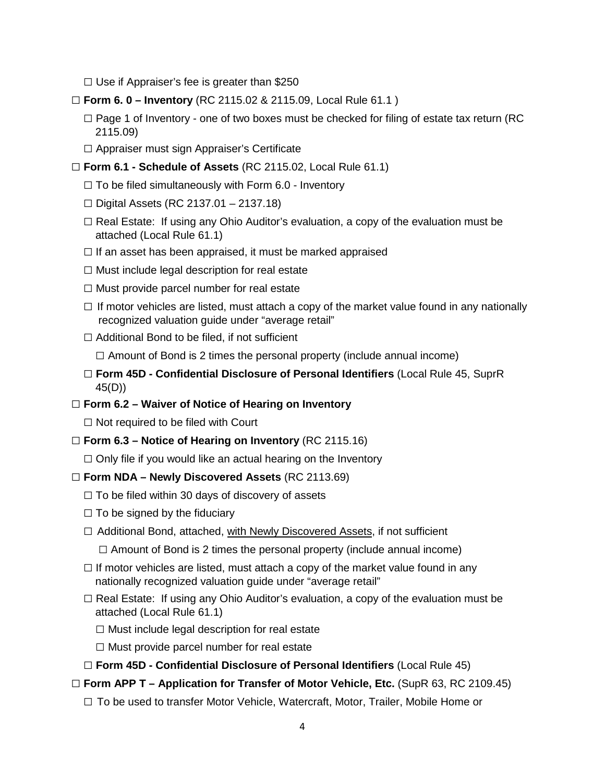- $\square$  Use if Appraiser's fee is greater than \$250
- □ **Form 6. 0 – Inventory** (RC 2115.02 & 2115.09, Local Rule 61.1 )
	- $\Box$  Page 1 of Inventory one of two boxes must be checked for filing of estate tax return (RC 2115.09)
	- □ Appraiser must sign Appraiser's Certificate
- □ **Form 6.1 - Schedule of Assets** (RC 2115.02, Local Rule 61.1)
	- $\Box$  To be filed simultaneously with Form 6.0 Inventory
	- □ Digital Assets (RC 2137.01 2137.18)
	- $\square$  Real Estate: If using any Ohio Auditor's evaluation, a copy of the evaluation must be attached (Local Rule 61.1)
	- $\Box$  If an asset has been appraised, it must be marked appraised
	- $\square$  Must include legal description for real estate
	- $\square$  Must provide parcel number for real estate
	- $\Box$  If motor vehicles are listed, must attach a copy of the market value found in any nationally recognized valuation guide under "average retail"
	- $\square$  Additional Bond to be filed, if not sufficient
		- $\Box$  Amount of Bond is 2 times the personal property (include annual income)
	- □ **Form 45D - Confidential Disclosure of Personal Identifiers** (Local Rule 45, SuprR 45(D))
- □ **Form 6.2 – Waiver of Notice of Hearing on Inventory**

 $\square$  Not required to be filed with Court

- □ **Form 6.3 – Notice of Hearing on Inventory** (RC 2115.16)
	- $\Box$  Only file if you would like an actual hearing on the Inventory
- □ **Form NDA – Newly Discovered Assets** (RC 2113.69)
	- $\Box$  To be filed within 30 days of discovery of assets
	- $\square$  To be signed by the fiduciary
	- □ Additional Bond, attached, with Newly Discovered Assets, if not sufficient

 $\Box$  Amount of Bond is 2 times the personal property (include annual income)

- $\square$  If motor vehicles are listed, must attach a copy of the market value found in any nationally recognized valuation guide under "average retail"
- $\Box$  Real Estate: If using any Ohio Auditor's evaluation, a copy of the evaluation must be attached (Local Rule 61.1)
	- $\square$  Must include legal description for real estate
	- $\square$  Must provide parcel number for real estate
- □ **Form 45D - Confidential Disclosure of Personal Identifiers** (Local Rule 45)
- □ **Form APP T – Application for Transfer of Motor Vehicle, Etc.** (SupR 63, RC 2109.45)
	- $\square$  To be used to transfer Motor Vehicle, Watercraft, Motor, Trailer, Mobile Home or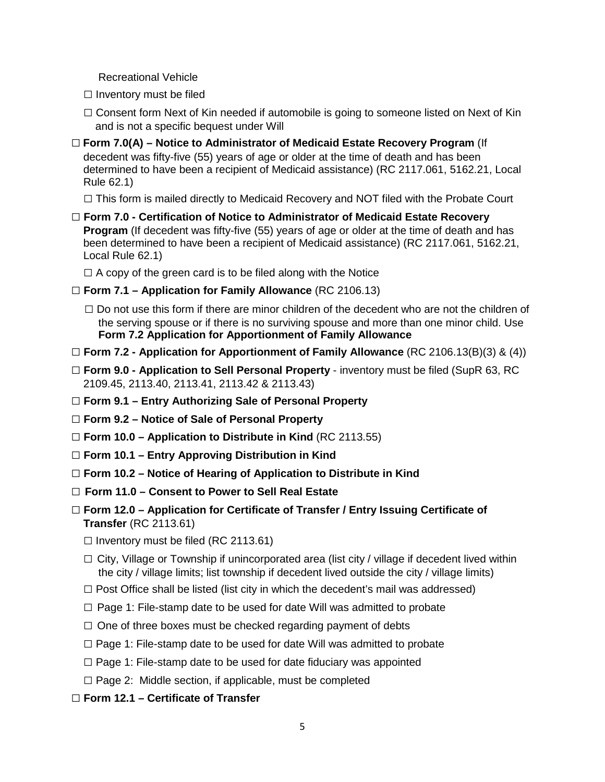Recreational Vehicle

- $\square$  Inventory must be filed
- $\square$  Consent form Next of Kin needed if automobile is going to someone listed on Next of Kin and is not a specific bequest under Will
- □ **Form 7.0(A) – Notice to Administrator of Medicaid Estate Recovery Program** (If decedent was fifty-five (55) years of age or older at the time of death and has been determined to have been a recipient of Medicaid assistance) (RC 2117.061, 5162.21, Local Rule 62.1)

 $\Box$  This form is mailed directly to Medicaid Recovery and NOT filed with the Probate Court

□ **Form 7.0 - Certification of Notice to Administrator of Medicaid Estate Recovery Program** (If decedent was fifty-five (55) years of age or older at the time of death and has been determined to have been a recipient of Medicaid assistance) (RC 2117.061, 5162.21, Local Rule 62.1)

 $\Box$  A copy of the green card is to be filed along with the Notice

- □ **Form 7.1 – Application for Family Allowance** (RC 2106.13)
	- $\square$  Do not use this form if there are minor children of the decedent who are not the children of the serving spouse or if there is no surviving spouse and more than one minor child. Use **Form 7.2 Application for Apportionment of Family Allowance**
- □ **Form 7.2 - Application for Apportionment of Family Allowance** (RC 2106.13(B)(3) & (4))
- □ **Form 9.0 - Application to Sell Personal Property** inventory must be filed (SupR 63, RC 2109.45, 2113.40, 2113.41, 2113.42 & 2113.43)
- □ **Form 9.1 – Entry Authorizing Sale of Personal Property**
- □ **Form 9.2 – Notice of Sale of Personal Property**
- □ **Form 10.0 – Application to Distribute in Kind** (RC 2113.55)
- □ **Form 10.1 – Entry Approving Distribution in Kind**
- □ **Form 10.2 – Notice of Hearing of Application to Distribute in Kind**
- □ **Form 11.0 – Consent to Power to Sell Real Estate**
- □ **Form 12.0 – Application for Certificate of Transfer / Entry Issuing Certificate of Transfer** (RC 2113.61)
	- $\square$  Inventory must be filed (RC 2113.61)
	- $\square$  City, Village or Township if unincorporated area (list city / village if decedent lived within the city / village limits; list township if decedent lived outside the city / village limits)
	- $\square$  Post Office shall be listed (list city in which the decedent's mail was addressed)
	- $\square$  Page 1: File-stamp date to be used for date Will was admitted to probate
	- $\Box$  One of three boxes must be checked regarding payment of debts
	- $\square$  Page 1: File-stamp date to be used for date Will was admitted to probate
	- $\square$  Page 1: File-stamp date to be used for date fiduciary was appointed
	- $\square$  Page 2: Middle section, if applicable, must be completed
- □ **Form 12.1 – Certificate of Transfer**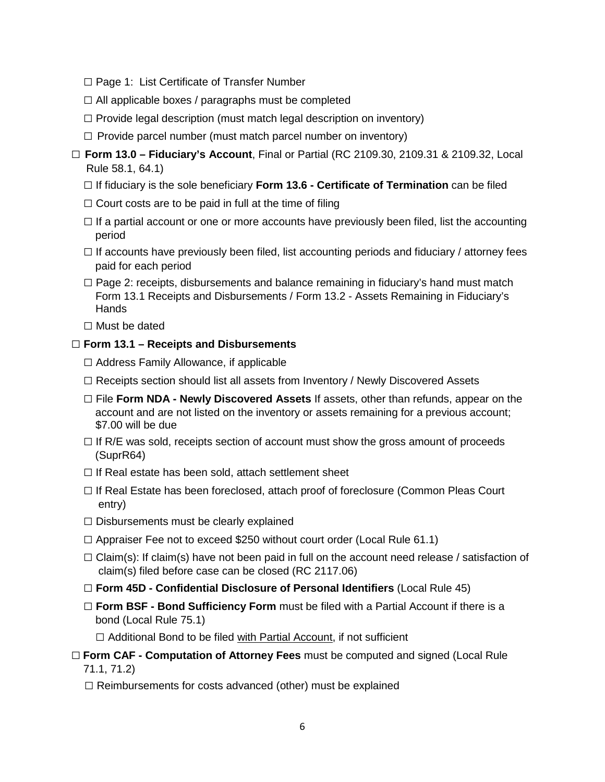- □ Page 1: List Certificate of Transfer Number
- $\square$  All applicable boxes / paragraphs must be completed
- $\square$  Provide legal description (must match legal description on inventory)
- $\Box$  Provide parcel number (must match parcel number on inventory)
- □ **Form 13.0 – Fiduciary's Account**, Final or Partial (RC 2109.30, 2109.31 & 2109.32, Local Rule 58.1, 64.1)
	- □ If fiduciary is the sole beneficiary **Form 13.6 - Certificate of Termination** can be filed
	- $\Box$  Court costs are to be paid in full at the time of filing
	- $\Box$  If a partial account or one or more accounts have previously been filed, list the accounting period
	- $\Box$  If accounts have previously been filed, list accounting periods and fiduciary / attorney fees paid for each period
	- $\square$  Page 2: receipts, disbursements and balance remaining in fiduciary's hand must match Form 13.1 Receipts and Disbursements / Form 13.2 - Assets Remaining in Fiduciary's **Hands**
	- □ Must be dated

#### □ **Form 13.1 – Receipts and Disbursements**

- **□** Address Family Allowance, if applicable
- $\Box$  Receipts section should list all assets from Inventory / Newly Discovered Assets
- □ File **Form NDA - Newly Discovered Assets** If assets, other than refunds, appear on the account and are not listed on the inventory or assets remaining for a previous account; \$7.00 will be due
- $\Box$  If R/E was sold, receipts section of account must show the gross amount of proceeds (SuprR64)
- $\Box$  If Real estate has been sold, attach settlement sheet
- $\Box$  If Real Estate has been foreclosed, attach proof of foreclosure (Common Pleas Court entry)
- $\square$  Disbursements must be clearly explained
- $\Box$  Appraiser Fee not to exceed \$250 without court order (Local Rule 61.1)
- $\Box$  Claim(s): If claim(s) have not been paid in full on the account need release / satisfaction of claim(s) filed before case can be closed (RC 2117.06)
- □ **Form 45D - Confidential Disclosure of Personal Identifiers** (Local Rule 45)
- □ **Form BSF Bond Sufficiency Form** must be filed with a Partial Account if there is a bond (Local Rule 75.1)

 $\Box$  Additional Bond to be filed with Partial Account, if not sufficient

## □ **Form CAF - Computation of Attorney Fees** must be computed and signed (Local Rule 71.1, 71.2)

 $\Box$  Reimbursements for costs advanced (other) must be explained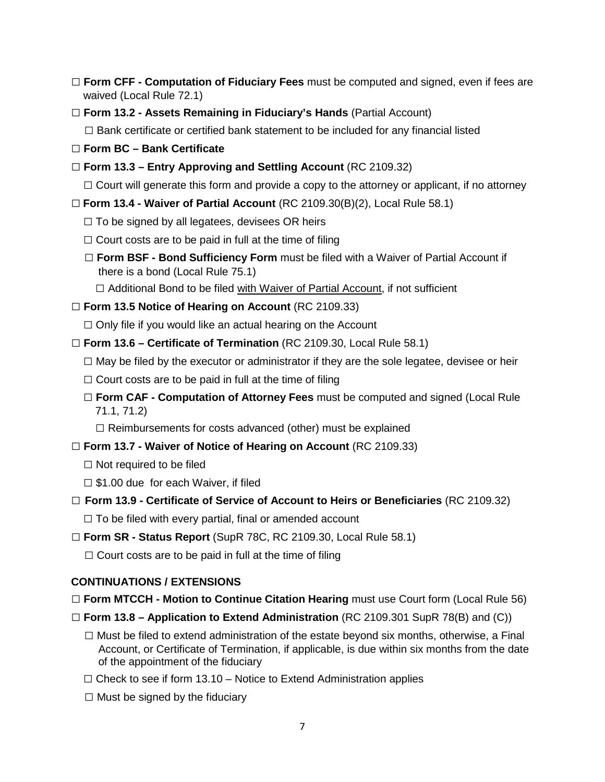- □ **Form CFF - Computation of Fiduciary Fees** must be computed and signed, even if fees are waived (Local Rule 72.1)
- □ **Form 13.2 - Assets Remaining in Fiduciary's Hands** (Partial Account)

 $\square$  Bank certificate or certified bank statement to be included for any financial listed

- □ **Form BC – Bank Certificate**
- □ **Form 13.3 – Entry Approving and Settling Account** (RC 2109.32)

 $\Box$  Court will generate this form and provide a copy to the attorney or applicant, if no attorney

- □ **Form 13.4 - Waiver of Partial Account** (RC 2109.30(B)(2), Local Rule 58.1)
	- $\Box$  To be signed by all legatees, devisees OR heirs
	- $\Box$  Court costs are to be paid in full at the time of filing
	- □ **Form BSF - Bond Sufficiency Form** must be filed with a Waiver of Partial Account if there is a bond (Local Rule 75.1)
		- $\Box$  Additional Bond to be filed with Waiver of Partial Account, if not sufficient
- □ **Form 13.5 Notice of Hearing on Account** (RC 2109.33)

 $\Box$  Only file if you would like an actual hearing on the Account

- □ **Form 13.6 – Certificate of Termination** (RC 2109.30, Local Rule 58.1)
	- $\square$  May be filed by the executor or administrator if they are the sole legatee, devisee or heir
	- $\Box$  Court costs are to be paid in full at the time of filing
	- □ **Form CAF Computation of Attorney Fees** must be computed and signed (Local Rule 71.1, 71.2)

 $\square$  Reimbursements for costs advanced (other) must be explained

- □ **Form 13.7 - Waiver of Notice of Hearing on Account** (RC 2109.33)
	- $\Box$  Not required to be filed
	- $\square$  \$1.00 due for each Waiver, if filed
- □ **Form 13.9 - Certificate of Service of Account to Heirs or Beneficiaries** (RC 2109.32)

 $\Box$  To be filed with every partial, final or amended account

□ **Form SR - Status Report** (SupR 78C, RC 2109.30, Local Rule 58.1)

 $\Box$  Court costs are to be paid in full at the time of filing

# **CONTINUATIONS / EXTENSIONS**

- □ **Form MTCCH - Motion to Continue Citation Hearing** must use Court form (Local Rule 56)
- □ **Form 13.8 – Application to Extend Administration** (RC 2109.301 SupR 78(B) and (C))
	- $\square$  Must be filed to extend administration of the estate beyond six months, otherwise, a Final Account, or Certificate of Termination, if applicable, is due within six months from the date of the appointment of the fiduciary
	- $\Box$  Check to see if form 13.10 Notice to Extend Administration applies
	- $\square$  Must be signed by the fiduciary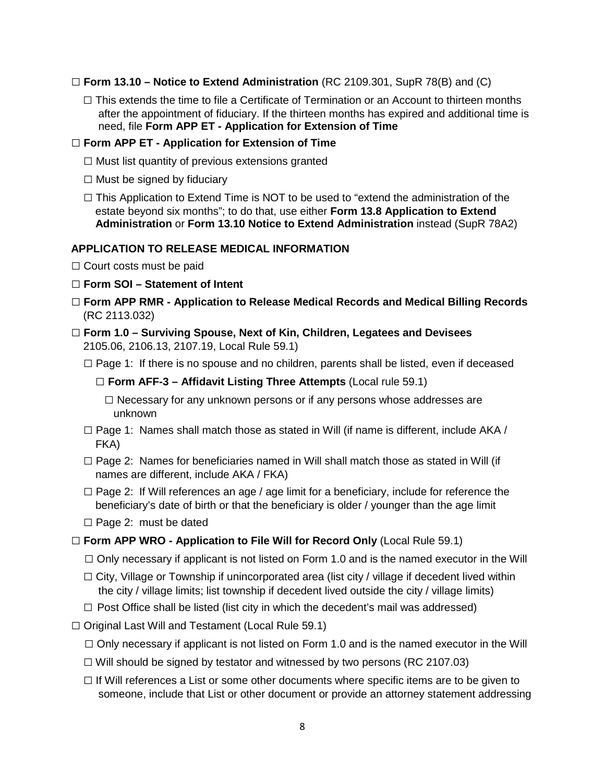### □ **Form 13.10 – Notice to Extend Administration** (RC 2109.301, SupR 78(B) and (C)

 $\square$  This extends the time to file a Certificate of Termination or an Account to thirteen months after the appointment of fiduciary. If the thirteen months has expired and additional time is need, file **Form APP ET - Application for Extension of Time**

#### □ **Form APP ET - Application for Extension of Time**

- □ Must list quantity of previous extensions granted
- $\square$  Must be signed by fiduciary
- □ This Application to Extend Time is NOT to be used to "extend the administration of the estate beyond six months"; to do that, use either **Form 13.8 Application to Extend Administration** or **Form 13.10 Notice to Extend Administration** instead (SupR 78A2)

#### **APPLICATION TO RELEASE MEDICAL INFORMATION**

 $\Box$  Court costs must be paid

### □ **Form SOI – Statement of Intent**

- **□ Form APP RMR - Application to Release Medical Records and Medical Billing Records** (RC 2113.032)
- □ **Form 1.0 – Surviving Spouse, Next of Kin, Children, Legatees and Devisees**  2105.06, 2106.13, 2107.19, Local Rule 59.1)
	- □ Page 1: If there is no spouse and no children, parents shall be listed, even if deceased

#### □ **Form AFF-3 – Affidavit Listing Three Attempts** (Local rule 59.1)

□ Necessary for any unknown persons or if any persons whose addresses are unknown

- □ Page 1: Names shall match those as stated in Will (if name is different, include AKA / FKA)
- □ Page 2: Names for beneficiaries named in Will shall match those as stated in Will (if names are different, include AKA / FKA)
- □ Page 2: If Will references an age / age limit for a beneficiary, include for reference the beneficiary's date of birth or that the beneficiary is older / younger than the age limit
- $\square$  Page 2: must be dated
- **□ Form APP WRO - Application to File Will for Record Only** (Local Rule 59.1)
	- □ Only necessary if applicant is not listed on Form 1.0 and is the named executor in the Will
	- □ City, Village or Township if unincorporated area (list city / village if decedent lived within the city / village limits; list township if decedent lived outside the city / village limits)
	- $\Box$  Post Office shall be listed (list city in which the decedent's mail was addressed)
- $\Box$  Original Last Will and Testament (Local Rule 59.1)
	- $\Box$  Only necessary if applicant is not listed on Form 1.0 and is the named executor in the Will
	- $\Box$  Will should be signed by testator and witnessed by two persons (RC 2107.03)
	- $\Box$  If Will references a List or some other documents where specific items are to be given to someone, include that List or other document or provide an attorney statement addressing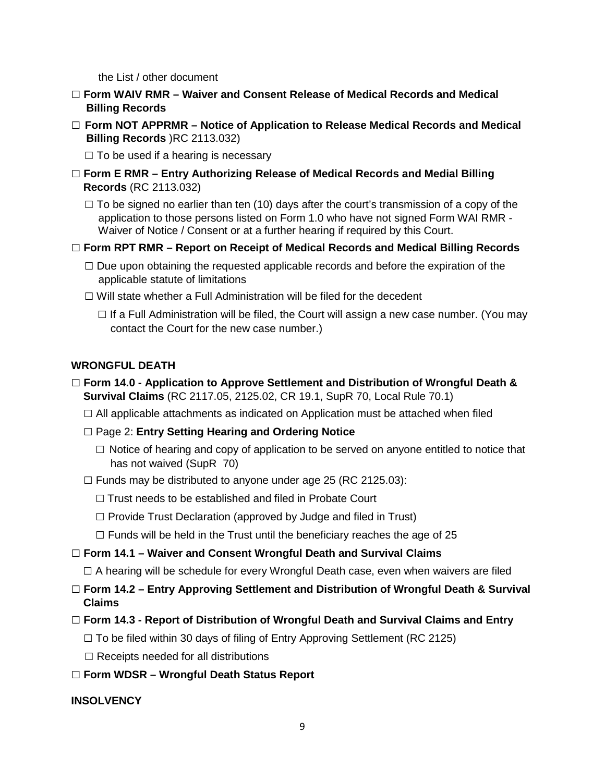the List / other document

- **□ Form WAIV RMR – Waiver and Consent Release of Medical Records and Medical Billing Records**
- **□ Form NOT APPRMR – Notice of Application to Release Medical Records and Medical Billing Records** )RC 2113.032)

 $\Box$  To be used if a hearing is necessary

- **□ Form E RMR – Entry Authorizing Release of Medical Records and Medial Billing Records** (RC 2113.032)
	- $\square$  To be signed no earlier than ten (10) days after the court's transmission of a copy of the application to those persons listed on Form 1.0 who have not signed Form WAI RMR - Waiver of Notice / Consent or at a further hearing if required by this Court.
- **□ Form RPT RMR – Report on Receipt of Medical Records and Medical Billing Records**
	- □ Due upon obtaining the requested applicable records and before the expiration of the applicable statute of limitations
	- $\Box$  Will state whether a Full Administration will be filed for the decedent
		- $\square$  If a Full Administration will be filed, the Court will assign a new case number. (You may contact the Court for the new case number.)

### **WRONGFUL DEATH**

- □ **Form 14.0 - Application to Approve Settlement and Distribution of Wrongful Death & Survival Claims** (RC 2117.05, 2125.02, CR 19.1, SupR 70, Local Rule 70.1)
	- □ All applicable attachments as indicated on Application must be attached when filed
	- **□** Page 2: **Entry Setting Hearing and Ordering Notice**
		- □ Notice of hearing and copy of application to be served on anyone entitled to notice that has not waived (SupR 70)
	- $\Box$  Funds may be distributed to anyone under age 25 (RC 2125.03):
		- $\Box$  Trust needs to be established and filed in Probate Court
		- $\Box$  Provide Trust Declaration (approved by Judge and filed in Trust)
		- $\Box$  Funds will be held in the Trust until the beneficiary reaches the age of 25
- □ **Form 14.1 – Waiver and Consent Wrongful Death and Survival Claims**
	- $\square$  A hearing will be schedule for every Wrongful Death case, even when waivers are filed
- □ **Form 14.2 – Entry Approving Settlement and Distribution of Wrongful Death & Survival Claims**
- □ **Form 14.3 - Report of Distribution of Wrongful Death and Survival Claims and Entry**
	- □ To be filed within 30 days of filing of Entry Approving Settlement (RC 2125)
	- $\square$  Receipts needed for all distributions
- □ **Form WDSR – Wrongful Death Status Report**

### **INSOLVENCY**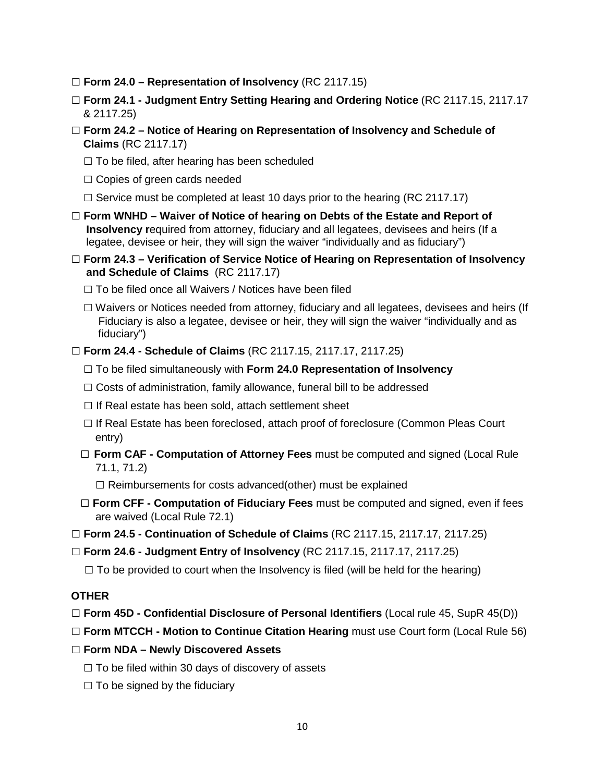- □ **Form 24.0 – Representation of Insolvency** (RC 2117.15)
- □ **Form 24.1 - Judgment Entry Setting Hearing and Ordering Notice** (RC 2117.15, 2117.17 & 2117.25)
- □ **Form 24.2 – Notice of Hearing on Representation of Insolvency and Schedule of Claims** (RC 2117.17)
	- $\Box$  To be filed, after hearing has been scheduled
	- $\square$  Copies of green cards needed
	- $\Box$  Service must be completed at least 10 days prior to the hearing (RC 2117.17)
- □ **Form WNHD – Waiver of Notice of hearing on Debts of the Estate and Report of Insolvency r**equired from attorney, fiduciary and all legatees, devisees and heirs (If a legatee, devisee or heir, they will sign the waiver "individually and as fiduciary")
- □ **Form 24.3 – Verification of Service Notice of Hearing on Representation of Insolvency and Schedule of Claims** (RC 2117.17)
	- $\square$  To be filed once all Waivers / Notices have been filed
	- □ Waivers or Notices needed from attorney, fiduciary and all legatees, devisees and heirs (If Fiduciary is also a legatee, devisee or heir, they will sign the waiver "individually and as fiduciary")
- □ **Form 24.4 - Schedule of Claims** (RC 2117.15, 2117.17, 2117.25)
	- □ To be filed simultaneously with **Form 24.0 Representation of Insolvency**
	- $\Box$  Costs of administration, family allowance, funeral bill to be addressed
	- $\square$  If Real estate has been sold, attach settlement sheet
	- □ If Real Estate has been foreclosed, attach proof of foreclosure (Common Pleas Court entry)
	- □ **Form CAF Computation of Attorney Fees** must be computed and signed (Local Rule 71.1, 71.2)
		- $\Box$  Reimbursements for costs advanced(other) must be explained
	- □ **Form CFF - Computation of Fiduciary Fees** must be computed and signed, even if fees are waived (Local Rule 72.1)
- □ **Form 24.5 - Continuation of Schedule of Claims** (RC 2117.15, 2117.17, 2117.25)
- □ **Form 24.6 - Judgment Entry of Insolvency** (RC 2117.15, 2117.17, 2117.25)
	- $\Box$  To be provided to court when the Insolvency is filed (will be held for the hearing)

#### **OTHER**

- □ **Form 45D - Confidential Disclosure of Personal Identifiers** (Local rule 45, SupR 45(D))
- □ **Form MTCCH - Motion to Continue Citation Hearing** must use Court form (Local Rule 56)
- □ **Form NDA – Newly Discovered Assets**
	- $\square$  To be filed within 30 days of discovery of assets
	- $\Box$  To be signed by the fiduciary